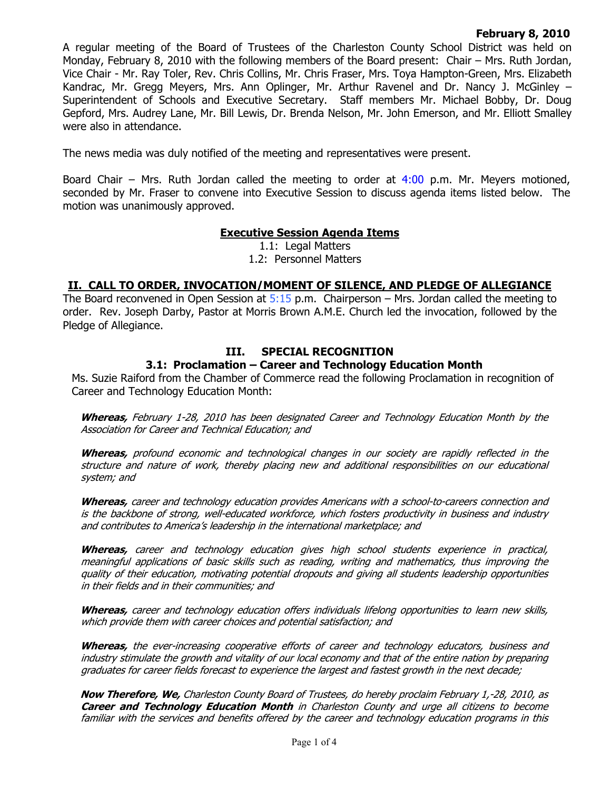### **February 8, 2010**

A regular meeting of the Board of Trustees of the Charleston County School District was held on Monday, February 8, 2010 with the following members of the Board present: Chair – Mrs. Ruth Jordan, Vice Chair - Mr. Ray Toler, Rev. Chris Collins, Mr. Chris Fraser, Mrs. Toya Hampton-Green, Mrs. Elizabeth Kandrac, Mr. Gregg Meyers, Mrs. Ann Oplinger, Mr. Arthur Ravenel and Dr. Nancy J. McGinley – Superintendent of Schools and Executive Secretary. Staff members Mr. Michael Bobby, Dr. Doug Gepford, Mrs. Audrey Lane, Mr. Bill Lewis, Dr. Brenda Nelson, Mr. John Emerson, and Mr. Elliott Smalley were also in attendance.

The news media was duly notified of the meeting and representatives were present.

Board Chair – Mrs. Ruth Jordan called the meeting to order at  $4:00$  p.m. Mr. Meyers motioned, seconded by Mr. Fraser to convene into Executive Session to discuss agenda items listed below. The motion was unanimously approved.

## **Executive Session Agenda Items**

1.1: Legal Matters 1.2: Personnel Matters

## **II. CALL TO ORDER, INVOCATION/MOMENT OF SILENCE, AND PLEDGE OF ALLEGIANCE**

The Board reconvened in Open Session at  $5:15$  p.m. Chairperson – Mrs. Jordan called the meeting to order. Rev. Joseph Darby, Pastor at Morris Brown A.M.E. Church led the invocation, followed by the Pledge of Allegiance.

# **III. SPECIAL RECOGNITION**

### **3.1: Proclamation – Career and Technology Education Month**

Ms. Suzie Raiford from the Chamber of Commerce read the following Proclamation in recognition of Career and Technology Education Month:

**Whereas,** February 1-28, 2010 has been designated Career and Technology Education Month by the Association for Career and Technical Education; and

**Whereas,** profound economic and technological changes in our society are rapidly reflected in the structure and nature of work, thereby placing new and additional responsibilities on our educational system; and

**Whereas,** career and technology education provides Americans with a school-to-careers connection and is the backbone of strong, well-educated workforce, which fosters productivity in business and industry and contributes to America's leadership in the international marketplace; and

**Whereas,** career and technology education gives high school students experience in practical, meaningful applications of basic skills such as reading, writing and mathematics, thus improving the quality of their education, motivating potential dropouts and giving all students leadership opportunities in their fields and in their communities; and

**Whereas,** career and technology education offers individuals lifelong opportunities to learn new skills, which provide them with career choices and potential satisfaction; and

**Whereas,** the ever-increasing cooperative efforts of career and technology educators, business and industry stimulate the growth and vitality of our local economy and that of the entire nation by preparing graduates for career fields forecast to experience the largest and fastest growth in the next decade;

**Now Therefore, We,** Charleston County Board of Trustees, do hereby proclaim February 1,-28, 2010, as **Career and Technology Education Month** in Charleston County and urge all citizens to become familiar with the services and benefits offered by the career and technology education programs in this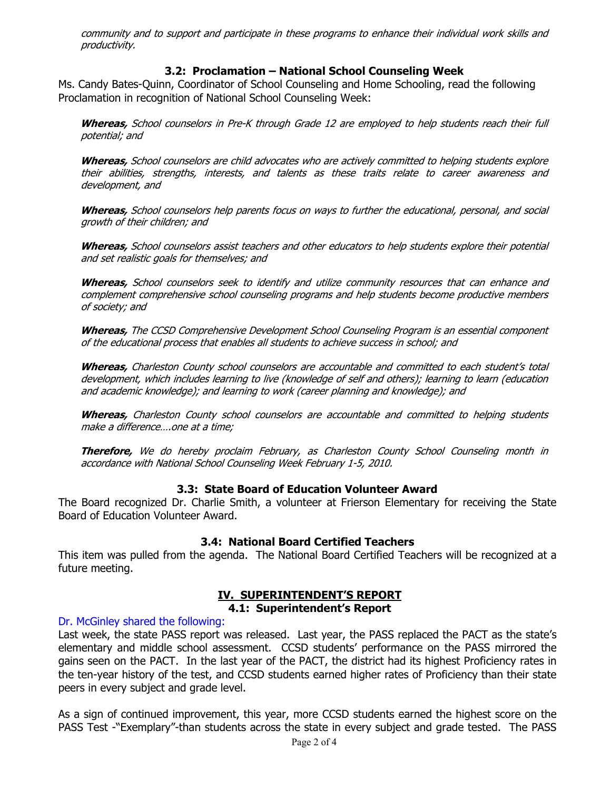community and to support and participate in these programs to enhance their individual work skills and productivity.

# **3.2: Proclamation – National School Counseling Week**

Ms. Candy Bates-Quinn, Coordinator of School Counseling and Home Schooling, read the following Proclamation in recognition of National School Counseling Week:

**Whereas,** School counselors in Pre-K through Grade 12 are employed to help students reach their full potential; and

**Whereas,** School counselors are child advocates who are actively committed to helping students explore their abilities, strengths, interests, and talents as these traits relate to career awareness and development, and

**Whereas,** School counselors help parents focus on ways to further the educational, personal, and social growth of their children; and

**Whereas,** School counselors assist teachers and other educators to help students explore their potential and set realistic goals for themselves; and

**Whereas,** School counselors seek to identify and utilize community resources that can enhance and complement comprehensive school counseling programs and help students become productive members of society; and

**Whereas,** The CCSD Comprehensive Development School Counseling Program is an essential component of the educational process that enables all students to achieve success in school; and

**Whereas,** Charleston County school counselors are accountable and committed to each student's total development, which includes learning to live (knowledge of self and others); learning to learn (education and academic knowledge); and learning to work (career planning and knowledge); and

**Whereas,** Charleston County school counselors are accountable and committed to helping students make a difference….one at a time;

**Therefore,** We do hereby proclaim February, as Charleston County School Counseling month in accordance with National School Counseling Week February 1-5, 2010.

## **3.3: State Board of Education Volunteer Award**

The Board recognized Dr. Charlie Smith, a volunteer at Frierson Elementary for receiving the State Board of Education Volunteer Award.

## **3.4: National Board Certified Teachers**

This item was pulled from the agenda. The National Board Certified Teachers will be recognized at a future meeting.

# **IV. SUPERINTENDENT'S REPORT**

#### **4.1: Superintendent's Report**

#### Dr. McGinley shared the following:

Last week, the state PASS report was released. Last year, the PASS replaced the PACT as the state's elementary and middle school assessment. CCSD students' performance on the PASS mirrored the gains seen on the PACT. In the last year of the PACT, the district had its highest Proficiency rates in the ten-year history of the test, and CCSD students earned higher rates of Proficiency than their state peers in every subject and grade level.

As a sign of continued improvement, this year, more CCSD students earned the highest score on the PASS Test -"Exemplary"-than students across the state in every subject and grade tested. The PASS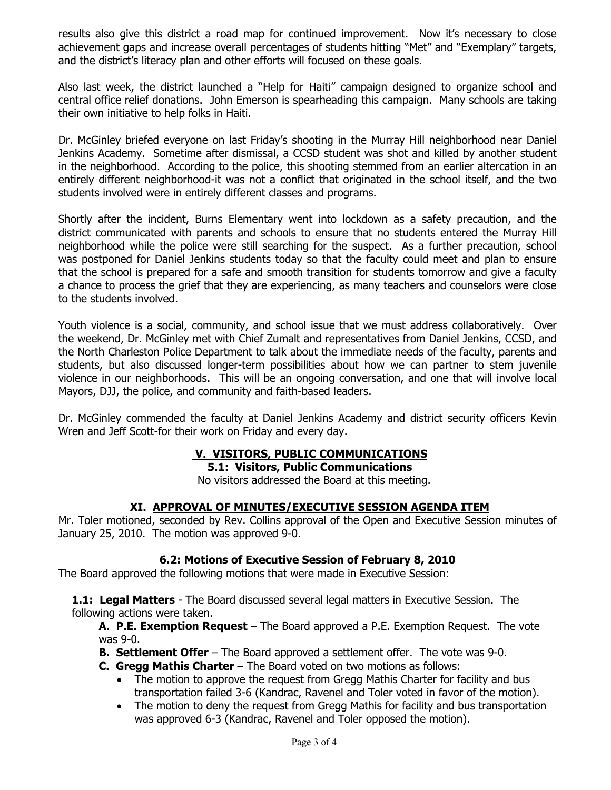results also give this district a road map for continued improvement. Now it's necessary to close achievement gaps and increase overall percentages of students hitting "Met" and "Exemplary" targets, and the district's literacy plan and other efforts will focused on these goals.

Also last week, the district launched a "Help for Haiti" campaign designed to organize school and central office relief donations. John Emerson is spearheading this campaign. Many schools are taking their own initiative to help folks in Haiti.

Dr. McGinley briefed everyone on last Friday's shooting in the Murray Hill neighborhood near Daniel Jenkins Academy. Sometime after dismissal, a CCSD student was shot and killed by another student in the neighborhood. According to the police, this shooting stemmed from an earlier altercation in an entirely different neighborhood-it was not a conflict that originated in the school itself, and the two students involved were in entirely different classes and programs.

Shortly after the incident, Burns Elementary went into lockdown as a safety precaution, and the district communicated with parents and schools to ensure that no students entered the Murray Hill neighborhood while the police were still searching for the suspect. As a further precaution, school was postponed for Daniel Jenkins students today so that the faculty could meet and plan to ensure that the school is prepared for a safe and smooth transition for students tomorrow and give a faculty a chance to process the grief that they are experiencing, as many teachers and counselors were close to the students involved.

Youth violence is a social, community, and school issue that we must address collaboratively. Over the weekend, Dr. McGinley met with Chief Zumalt and representatives from Daniel Jenkins, CCSD, and the North Charleston Police Department to talk about the immediate needs of the faculty, parents and students, but also discussed longer-term possibilities about how we can partner to stem juvenile violence in our neighborhoods. This will be an ongoing conversation, and one that will involve local Mayors, DJJ, the police, and community and faith-based leaders.

Dr. McGinley commended the faculty at Daniel Jenkins Academy and district security officers Kevin Wren and Jeff Scott-for their work on Friday and every day.

# **V. VISITORS, PUBLIC COMMUNICATIONS**

**5.1: Visitors, Public Communications** 

No visitors addressed the Board at this meeting.

## **XI. APPROVAL OF MINUTES/EXECUTIVE SESSION AGENDA ITEM**

Mr. Toler motioned, seconded by Rev. Collins approval of the Open and Executive Session minutes of January 25, 2010. The motion was approved 9-0.

## **6.2: Motions of Executive Session of February 8, 2010**

The Board approved the following motions that were made in Executive Session:

**1.1: Legal Matters** - The Board discussed several legal matters in Executive Session. The following actions were taken.

**A. P.E. Exemption Request** – The Board approved a P.E. Exemption Request. The vote was 9-0.

**B. Settlement Offer** – The Board approved a settlement offer. The vote was 9-0.

- **C. Gregg Mathis Charter** The Board voted on two motions as follows:
	- The motion to approve the request from Gregg Mathis Charter for facility and bus transportation failed 3-6 (Kandrac, Ravenel and Toler voted in favor of the motion).
	- The motion to deny the request from Gregg Mathis for facility and bus transportation was approved 6-3 (Kandrac, Ravenel and Toler opposed the motion).